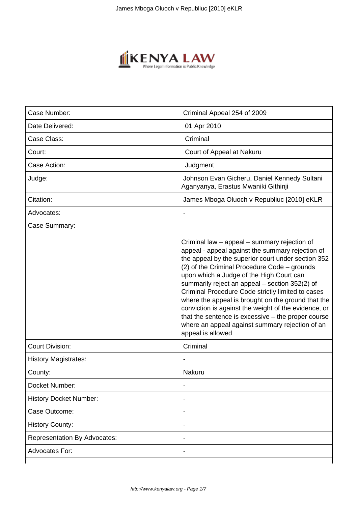

| Case Number:                        | Criminal Appeal 254 of 2009                                                                                                                                                                                                                                                                                                                                                                                                                                                                                                                                                                             |
|-------------------------------------|---------------------------------------------------------------------------------------------------------------------------------------------------------------------------------------------------------------------------------------------------------------------------------------------------------------------------------------------------------------------------------------------------------------------------------------------------------------------------------------------------------------------------------------------------------------------------------------------------------|
|                                     |                                                                                                                                                                                                                                                                                                                                                                                                                                                                                                                                                                                                         |
| Date Delivered:                     | 01 Apr 2010                                                                                                                                                                                                                                                                                                                                                                                                                                                                                                                                                                                             |
| Case Class:                         | Criminal                                                                                                                                                                                                                                                                                                                                                                                                                                                                                                                                                                                                |
| Court:                              | Court of Appeal at Nakuru                                                                                                                                                                                                                                                                                                                                                                                                                                                                                                                                                                               |
| Case Action:                        | Judgment                                                                                                                                                                                                                                                                                                                                                                                                                                                                                                                                                                                                |
| Judge:                              | Johnson Evan Gicheru, Daniel Kennedy Sultani<br>Aganyanya, Erastus Mwaniki Githinji                                                                                                                                                                                                                                                                                                                                                                                                                                                                                                                     |
| Citation:                           | James Mboga Oluoch v Republiuc [2010] eKLR                                                                                                                                                                                                                                                                                                                                                                                                                                                                                                                                                              |
| Advocates:                          |                                                                                                                                                                                                                                                                                                                                                                                                                                                                                                                                                                                                         |
| Case Summary:                       | Criminal law – appeal – summary rejection of<br>appeal - appeal against the summary rejection of<br>the appeal by the superior court under section 352<br>(2) of the Criminal Procedure Code - grounds<br>upon which a Judge of the High Court can<br>summarily reject an appeal - section 352(2) of<br>Criminal Procedure Code strictly limited to cases<br>where the appeal is brought on the ground that the<br>conviction is against the weight of the evidence, or<br>that the sentence is excessive $-$ the proper course<br>where an appeal against summary rejection of an<br>appeal is allowed |
| <b>Court Division:</b>              | Criminal                                                                                                                                                                                                                                                                                                                                                                                                                                                                                                                                                                                                |
| <b>History Magistrates:</b>         |                                                                                                                                                                                                                                                                                                                                                                                                                                                                                                                                                                                                         |
| County:                             | Nakuru                                                                                                                                                                                                                                                                                                                                                                                                                                                                                                                                                                                                  |
| Docket Number:                      |                                                                                                                                                                                                                                                                                                                                                                                                                                                                                                                                                                                                         |
| <b>History Docket Number:</b>       |                                                                                                                                                                                                                                                                                                                                                                                                                                                                                                                                                                                                         |
| Case Outcome:                       | ٠                                                                                                                                                                                                                                                                                                                                                                                                                                                                                                                                                                                                       |
| <b>History County:</b>              |                                                                                                                                                                                                                                                                                                                                                                                                                                                                                                                                                                                                         |
| <b>Representation By Advocates:</b> |                                                                                                                                                                                                                                                                                                                                                                                                                                                                                                                                                                                                         |
| <b>Advocates For:</b>               |                                                                                                                                                                                                                                                                                                                                                                                                                                                                                                                                                                                                         |
|                                     |                                                                                                                                                                                                                                                                                                                                                                                                                                                                                                                                                                                                         |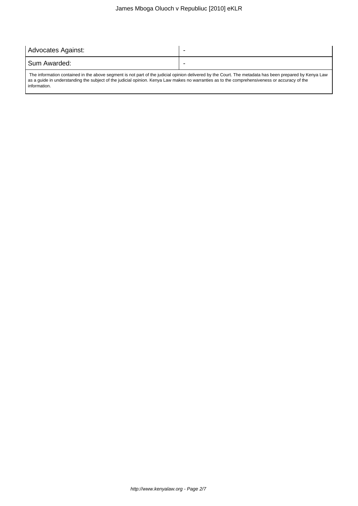# James Mboga Oluoch v Republiuc [2010] eKLR

| Advocates Against:                                                                                                                                     |  |
|--------------------------------------------------------------------------------------------------------------------------------------------------------|--|
| I Sum Awarded:                                                                                                                                         |  |
| The information contained in the above segment is not part of the judicial opinion delivered by the Court. The metadata has been prepared by Kenya Law |  |

as a guide in understanding the subject of the judicial opinion. Kenya Law makes no warranties as to the comprehensiveness or accuracy of the information.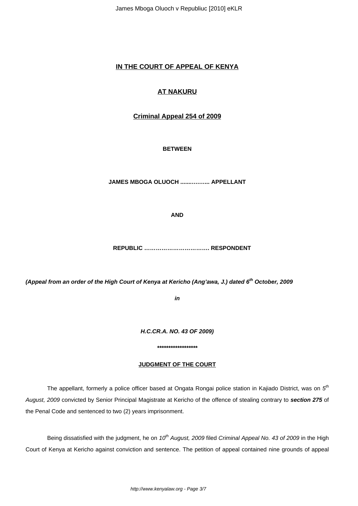James Mboga Oluoch v Republiuc [2010] eKLR

# **IN THE COURT OF APPEAL OF KENYA**

# **AT NAKURU**

## **Criminal Appeal 254 of 2009**

### **BETWEEN**

**JAMES MBOGA OLUOCH .......….…... APPELLANT**

**AND**

 **REPUBLIC ……………………………. RESPONDENT**

**(Appeal from an order of the High Court of Kenya at Kericho (Ang'awa, J.) dated 6th October, 2009**

**in**

**H.C.CR.A. NO. 43 OF 2009)**

**\*\*\*\*\*\*\*\*\*\*\*\*\*\*\*\*\*\***

### **JUDGMENT OF THE COURT**

The appellant, formerly a police officer based at Ongata Rongai police station in Kajiado District, was on  $5^{\text{th}}$ August, 2009 convicted by Senior Principal Magistrate at Kericho of the offence of stealing contrary to **section 275** of the Penal Code and sentenced to two (2) years imprisonment.

Being dissatisfied with the judgment, he on  $10^{th}$  August, 2009 filed Criminal Appeal No. 43 of 2009 in the High Court of Kenya at Kericho against conviction and sentence. The petition of appeal contained nine grounds of appeal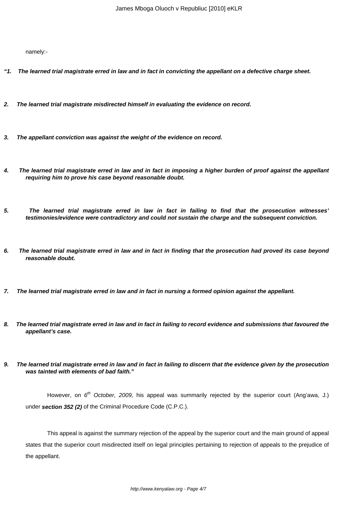namely:-

- **"1. The learned trial magistrate erred in law and in fact in convicting the appellant on a defective charge sheet.**
- **2. The learned trial magistrate misdirected himself in evaluating the evidence on record.**
- **3. The appellant conviction was against the weight of the evidence on record.**
- **4. The learned trial magistrate erred in law and in fact in imposing a higher burden of proof against the appellant requiring him to prove his case beyond reasonable doubt.**
- **5. The learned trial magistrate erred in law in fact in failing to find that the prosecution witnesses' testimonies/evidence were contradictory and could not sustain the charge and the subsequent conviction.**
- **6. The learned trial magistrate erred in law and in fact in finding that the prosecution had proved its case beyond reasonable doubt.**
- **7. The learned trial magistrate erred in law and in fact in nursing a formed opinion against the appellant.**
- **8. The learned trial magistrate erred in law and in fact in failing to record evidence and submissions that favoured the appellant's case.**
- **9. The learned trial magistrate erred in law and in fact in failing to discern that the evidence given by the prosecution was tainted with elements of bad faith."**

However, on 6<sup>th</sup> October, 2009, his appeal was summarily rejected by the superior court (Ang'awa, J.) under **section 352 (2)** of the Criminal Procedure Code (C.P.C.).

This appeal is against the summary rejection of the appeal by the superior court and the main ground of appeal states that the superior court misdirected itself on legal principles pertaining to rejection of appeals to the prejudice of the appellant.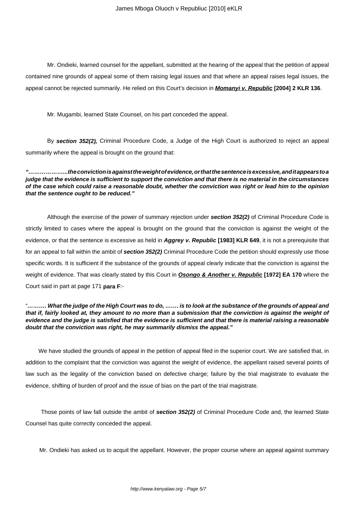Mr. Ondieki, learned counsel for the appellant, submitted at the hearing of the appeal that the petition of appeal contained nine grounds of appeal some of them raising legal issues and that where an appeal raises legal issues, the appeal cannot be rejected summarily. He relied on this Court's decision in **Momanyi v. Republic [2004] 2 KLR 136**.

Mr. Mugambi, learned State Counsel, on his part conceded the appeal.

By **section 352(2),** Criminal Procedure Code, a Judge of the High Court is authorized to reject an appeal summarily where the appeal is brought on the ground that:

**"………………...the conviction is against the weight of evidence, or that the sentence is excessive, and it appears to a judge that the evidence is sufficient to support the conviction and that there is no material in the circumstances of the case which could raise a reasonable doubt, whether the conviction was right or lead him to the opinion that the sentence ought to be reduced."**

Although the exercise of the power of summary rejection under **section 352(2)** of Criminal Procedure Code is strictly limited to cases where the appeal is brought on the ground that the conviction is against the weight of the evidence, or that the sentence is excessive as held in **Aggrey v. Republic [1983] KLR 649**, it is not a prerequisite that for an appeal to fall within the ambit of **section 352(2)** Criminal Procedure Code the petition should expressly use those specific words. It is sufficient if the substance of the grounds of appeal clearly indicate that the conviction is against the weight of evidence. That was clearly stated by this Court in **Osongo & Another v. Republic [1972] EA 170** where the Court said in part at page 171 **para F**:-

#### "**………. What the judge of the High Court was to do, ……. is to look at the substance of the grounds of appeal and that if, fairly looked at, they amount to no more than a submission that the conviction is against the weight of evidence and the judge is satisfied that the evidence is sufficient and that there is material raising a reasonable doubt that the conviction was right, he may summarily dismiss the appeal."**

We have studied the grounds of appeal in the petition of appeal filed in the superior court. We are satisfied that, in addition to the complaint that the conviction was against the weight of evidence, the appellant raised several points of law such as the legality of the conviction based on defective charge; failure by the trial magistrate to evaluate the evidence, shifting of burden of proof and the issue of bias on the part of the trial magistrate.

 Those points of law fall outside the ambit of **section 352(2)** of Criminal Procedure Code and, the learned State Counsel has quite correctly conceded the appeal.

Mr. Ondieki has asked us to acquit the appellant. However, the proper course where an appeal against summary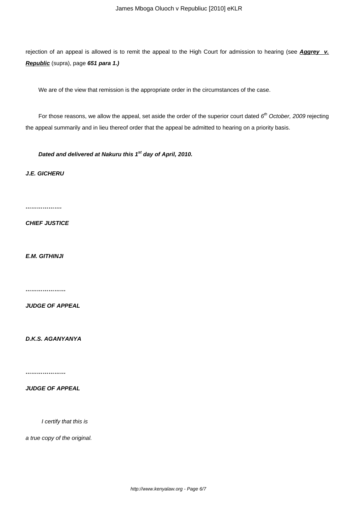rejection of an appeal is allowed is to remit the appeal to the High Court for admission to hearing (see **Aggrey v. Republic** (supra), page **651 para 1.)**

We are of the view that remission is the appropriate order in the circumstances of the case.

For those reasons, we allow the appeal, set aside the order of the superior court dated  $6<sup>th</sup>$  October, 2009 rejecting the appeal summarily and in lieu thereof order that the appeal be admitted to hearing on a priority basis.

**Dated and delivered at Nakuru this 1st day of April, 2010.**

**J.E. GICHERU**

**……………….**

**CHIEF JUSTICE**

**E.M. GITHINJI**

**…………………**

**JUDGE OF APPEAL**

**D.K.S. AGANYANYA**

**…………………**

**JUDGE OF APPEAL**

I certify that this is

a true copy of the original.